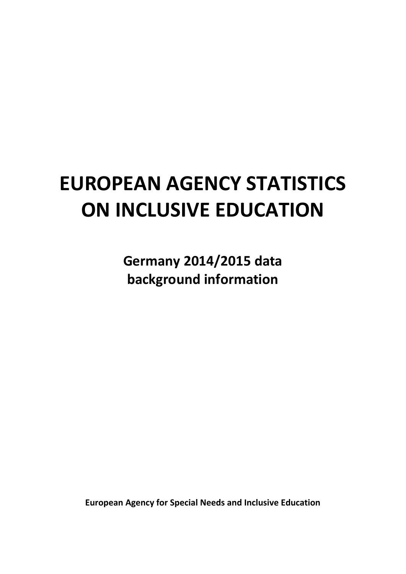# **EUROPEAN AGENCY STATISTICS ON INCLUSIVE EDUCATION**

**Germany 2014/2015 data background information**

**European Agency for Special Needs and Inclusive Education**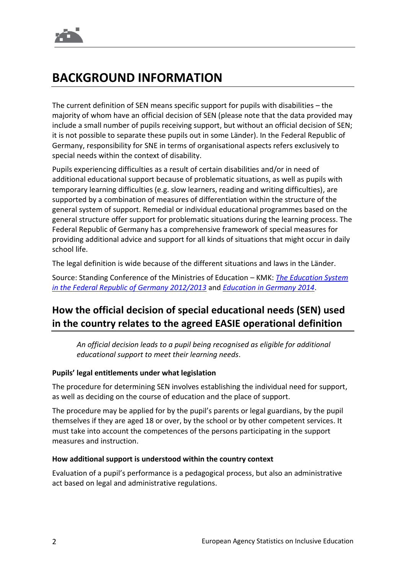## **BACKGROUND INFORMATION**

The current definition of SEN means specific support for pupils with disabilities – the majority of whom have an official decision of SEN (please note that the data provided may include a small number of pupils receiving support, but without an official decision of SEN; it is not possible to separate these pupils out in some Länder). In the Federal Republic of Germany, responsibility for SNE in terms of organisational aspects refers exclusively to special needs within the context of disability.

Pupils experiencing difficulties as a result of certain disabilities and/or in need of additional educational support because of problematic situations, as well as pupils with temporary learning difficulties (e.g. slow learners, reading and writing difficulties), are supported by a combination of measures of differentiation within the structure of the general system of support. Remedial or individual educational programmes based on the general structure offer support for problematic situations during the learning process. The Federal Republic of Germany has a comprehensive framework of special measures for providing additional advice and support for all kinds of situations that might occur in daily school life.

The legal definition is wide because of the different situations and laws in the Länder.

Source: Standing Conference of the Ministries of Education – KMK: *[The Education System](http://www.kmk.org/fileadmin/doc/Dokumentation/Bildungswesen_en_pdfs/support_and_guidance.pdf)  [in the Federal Republic of Germany 2012/2013](http://www.kmk.org/fileadmin/doc/Dokumentation/Bildungswesen_en_pdfs/support_and_guidance.pdf)* and *[Education in Germany 2014](http://www.bildungsbericht.de/daten2014/summary14.pdf)*.

## **How the official decision of special educational needs (SEN) used in the country relates to the agreed EASIE operational definition**

*An official decision leads to a pupil being recognised as eligible for additional educational support to meet their learning needs*.

## **Pupils' legal entitlements under what legislation**

The procedure for determining SEN involves establishing the individual need for support, as well as deciding on the course of education and the place of support.

The procedure may be applied for by the pupil's parents or legal guardians, by the pupil themselves if they are aged 18 or over, by the school or by other competent services. It must take into account the competences of the persons participating in the support measures and instruction.

## **How additional support is understood within the country context**

Evaluation of a pupil's performance is a pedagogical process, but also an administrative act based on legal and administrative regulations.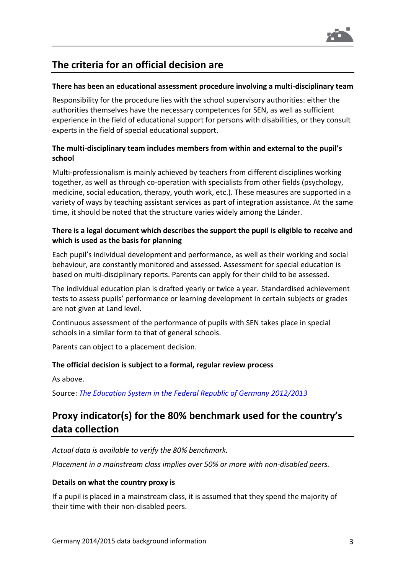

## **The criteria for an official decision are**

#### **There has been an educational assessment procedure involving a multi-disciplinary team**

Responsibility for the procedure lies with the school supervisory authorities: either the authorities themselves have the necessary competences for SEN, as well as sufficient experience in the field of educational support for persons with disabilities, or they consult experts in the field of special educational support.

## **The multi-disciplinary team includes members from within and external to the pupil's school**

Multi-professionalism is mainly achieved by teachers from different disciplines working together, as well as through co-operation with specialists from other fields (psychology, medicine, social education, therapy, youth work, etc.). These measures are supported in a variety of ways by teaching assistant services as part of integration assistance. At the same time, it should be noted that the structure varies widely among the Länder.

## **There is a legal document which describes the support the pupil is eligible to receive and which is used as the basis for planning**

Each pupil's individual development and performance, as well as their working and social behaviour, are constantly monitored and assessed. Assessment for special education is based on multi-disciplinary reports. Parents can apply for their child to be assessed.

The individual education plan is drafted yearly or twice a year. Standardised achievement tests to assess pupils' performance or learning development in certain subjects or grades are not given at Land level.

Continuous assessment of the performance of pupils with SEN takes place in special schools in a similar form to that of general schools.

Parents can object to a placement decision.

## **The official decision is subject to a formal, regular review process**

As above.

Source: *[The Education System in the Federal Republic of Germany 2012/2013](http://www.kmk.org/fileadmin/doc/Dokumentation/Bildungswesen_en_pdfs/support_and_guidance.pdf)*

## **Proxy indicator(s) for the 80% benchmark used for the country's data collection**

*Actual data is available to verify the 80% benchmark.*

*Placement in a mainstream class implies over 50% or more with non-disabled peers.*

#### **Details on what the country proxy is**

If a pupil is placed in a mainstream class, it is assumed that they spend the majority of their time with their non-disabled peers.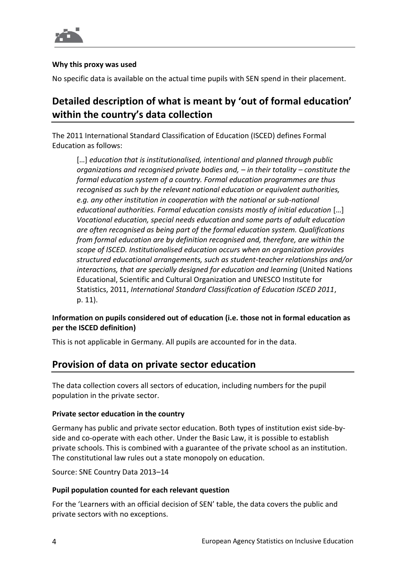

#### **Why this proxy was used**

No specific data is available on the actual time pupils with SEN spend in their placement.

## **Detailed description of what is meant by 'out of formal education' within the country's data collection**

The 2011 International Standard Classification of Education (ISCED) defines Formal Education as follows:

[…] *education that is institutionalised, intentional and planned through public organizations and recognised private bodies and, – in their totality – constitute the formal education system of a country. Formal education programmes are thus recognised as such by the relevant national education or equivalent authorities, e.g. any other institution in cooperation with the national or sub-national educational authorities. Formal education consists mostly of initial education* […] *Vocational education, special needs education and some parts of adult education are often recognised as being part of the formal education system. Qualifications from formal education are by definition recognised and, therefore, are within the scope of ISCED. Institutionalised education occurs when an organization provides structured educational arrangements, such as student-teacher relationships and/or interactions, that are specially designed for education and learning* (United Nations Educational, Scientific and Cultural Organization and UNESCO Institute for Statistics, 2011, *International Standard Classification of Education ISCED 2011*, p. 11).

## **Information on pupils considered out of education (i.e. those not in formal education as per the ISCED definition)**

This is not applicable in Germany. All pupils are accounted for in the data.

## **Provision of data on private sector education**

The data collection covers all sectors of education, including numbers for the pupil population in the private sector.

## **Private sector education in the country**

Germany has public and private sector education. Both types of institution exist side-byside and co-operate with each other. Under the Basic Law, it is possible to establish private schools. This is combined with a guarantee of the private school as an institution. The constitutional law rules out a state monopoly on education.

Source: SNE Country Data 2013–14

## **Pupil population counted for each relevant question**

For the 'Learners with an official decision of SEN' table, the data covers the public and private sectors with no exceptions.